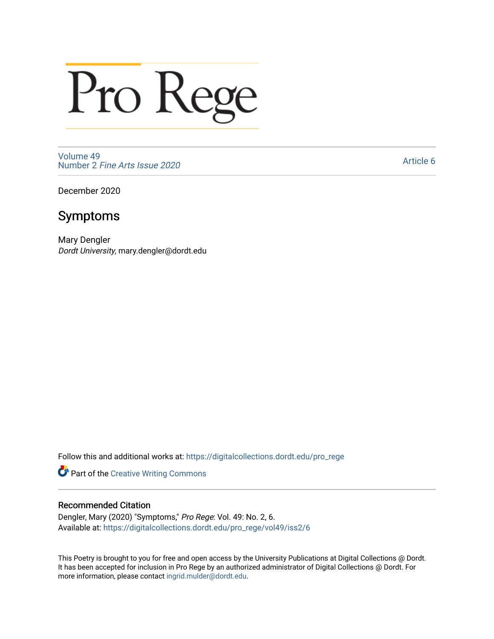## Pro Rege

[Volume 49](https://digitalcollections.dordt.edu/pro_rege/vol49) Number 2 [Fine Arts Issue 2020](https://digitalcollections.dordt.edu/pro_rege/vol49/iss2) 

[Article 6](https://digitalcollections.dordt.edu/pro_rege/vol49/iss2/6) 

December 2020

## Symptoms

Mary Dengler Dordt University, mary.dengler@dordt.edu

Follow this and additional works at: [https://digitalcollections.dordt.edu/pro\\_rege](https://digitalcollections.dordt.edu/pro_rege?utm_source=digitalcollections.dordt.edu%2Fpro_rege%2Fvol49%2Fiss2%2F6&utm_medium=PDF&utm_campaign=PDFCoverPages) 

Part of the [Creative Writing Commons](http://network.bepress.com/hgg/discipline/574?utm_source=digitalcollections.dordt.edu%2Fpro_rege%2Fvol49%2Fiss2%2F6&utm_medium=PDF&utm_campaign=PDFCoverPages) 

## Recommended Citation

Dengler, Mary (2020) "Symptoms," Pro Rege: Vol. 49: No. 2, 6. Available at: [https://digitalcollections.dordt.edu/pro\\_rege/vol49/iss2/6](https://digitalcollections.dordt.edu/pro_rege/vol49/iss2/6?utm_source=digitalcollections.dordt.edu%2Fpro_rege%2Fvol49%2Fiss2%2F6&utm_medium=PDF&utm_campaign=PDFCoverPages) 

This Poetry is brought to you for free and open access by the University Publications at Digital Collections @ Dordt. It has been accepted for inclusion in Pro Rege by an authorized administrator of Digital Collections @ Dordt. For more information, please contact [ingrid.mulder@dordt.edu.](mailto:ingrid.mulder@dordt.edu)